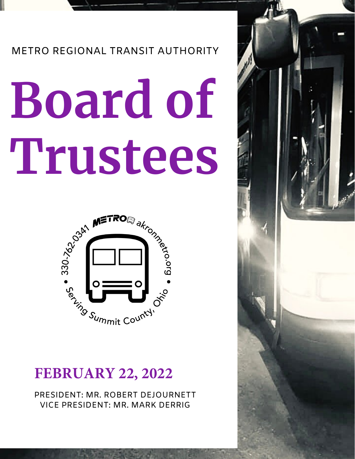## METRO REGIONAL TRANSIT AUTHORITY

# **Board of Trustees**



# **FEBRUARY 22, 2022**

PRESIDENT: MR. ROBERT DEJOURNETT VICE PRESIDENT: MR. MARK DERRIG

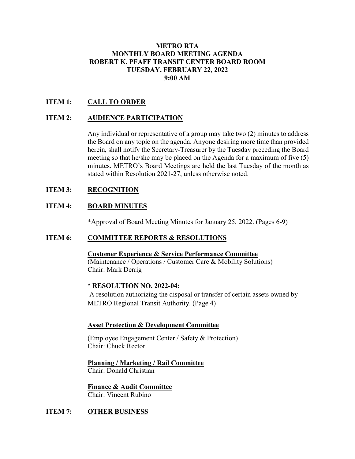#### **METRO RTA MONTHLY BOARD MEETING AGENDA ROBERT K. PFAFF TRANSIT CENTER BOARD ROOM TUESDAY, FEBRUARY 22, 2022 9:00 AM**

#### **ITEM 1: CALL TO ORDER**

#### **ITEM 2: AUDIENCE PARTICIPATION**

Any individual or representative of a group may take two (2) minutes to address the Board on any topic on the agenda. Anyone desiring more time than provided herein, shall notify the Secretary-Treasurer by the Tuesday preceding the Board meeting so that he/she may be placed on the Agenda for a maximum of five (5) minutes. METRO's Board Meetings are held the last Tuesday of the month as stated within Resolution 2021-27, unless otherwise noted.

#### **ITEM 3: RECOGNITION**

#### **ITEM 4: BOARD MINUTES**

\*Approval of Board Meeting Minutes for January 25, 2022. (Pages 6-9)

#### **ITEM 6: COMMITTEE REPORTS & RESOLUTIONS**

**Customer Experience & Service Performance Committee** (Maintenance / Operations / Customer Care & Mobility Solutions) Chair: Mark Derrig

#### \* **RESOLUTION NO. 2022-04:**

A resolution authorizing the disposal or transfer of certain assets owned by METRO Regional Transit Authority. (Page 4)

#### **Asset Protection & Development Committee**

(Employee Engagement Center / Safety & Protection) Chair: Chuck Rector

**Planning / Marketing / Rail Committee** Chair: Donald Christian

**Finance & Audit Committee** Chair: Vincent Rubino

#### **ITEM 7: OTHER BUSINESS**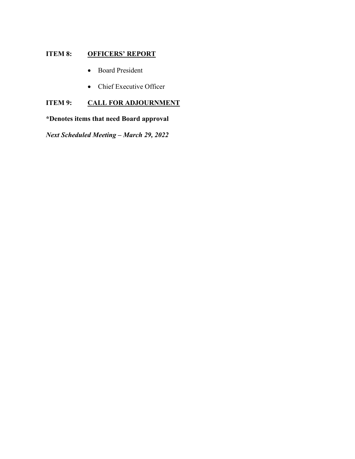#### **ITEM 8: OFFICERS' REPORT**

- Board President
- Chief Executive Officer

#### **ITEM 9: CALL FOR ADJOURNMENT**

#### **\*Denotes items that need Board approval**

*Next Scheduled Meeting – March 29, 2022*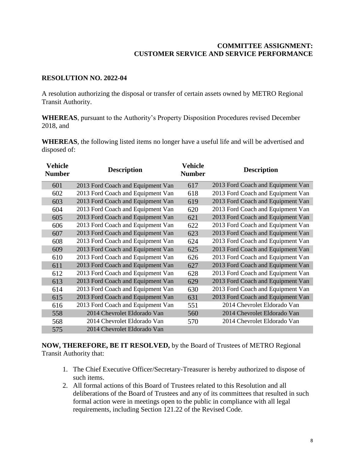#### **COMMITTEE ASSIGNMENT: CUSTOMER SERVICE AND SERVICE PERFORMANCE**

#### **RESOLUTION NO. 2022-04**

A resolution authorizing the disposal or transfer of certain assets owned by METRO Regional Transit Authority.

**WHEREAS**, pursuant to the Authority's Property Disposition Procedures revised December 2018, and

**WHEREAS**, the following listed items no longer have a useful life and will be advertised and disposed of:

| Vehicle<br><b>Number</b> | <b>Description</b>                | <b>Vehicle</b><br><b>Number</b> | <b>Description</b>                |
|--------------------------|-----------------------------------|---------------------------------|-----------------------------------|
| 601                      | 2013 Ford Coach and Equipment Van | 617                             | 2013 Ford Coach and Equipment Van |
| 602                      | 2013 Ford Coach and Equipment Van | 618                             | 2013 Ford Coach and Equipment Van |
| 603                      | 2013 Ford Coach and Equipment Van | 619                             | 2013 Ford Coach and Equipment Van |
| 604                      | 2013 Ford Coach and Equipment Van | 620                             | 2013 Ford Coach and Equipment Van |
| 605                      | 2013 Ford Coach and Equipment Van | 621                             | 2013 Ford Coach and Equipment Van |
| 606                      | 2013 Ford Coach and Equipment Van | 622                             | 2013 Ford Coach and Equipment Van |
| 607                      | 2013 Ford Coach and Equipment Van | 623                             | 2013 Ford Coach and Equipment Van |
| 608                      | 2013 Ford Coach and Equipment Van | 624                             | 2013 Ford Coach and Equipment Van |
| 609                      | 2013 Ford Coach and Equipment Van | 625                             | 2013 Ford Coach and Equipment Van |
| 610                      | 2013 Ford Coach and Equipment Van | 626                             | 2013 Ford Coach and Equipment Van |
| 611                      | 2013 Ford Coach and Equipment Van | 627                             | 2013 Ford Coach and Equipment Van |
| 612                      | 2013 Ford Coach and Equipment Van | 628                             | 2013 Ford Coach and Equipment Van |
| 613                      | 2013 Ford Coach and Equipment Van | 629                             | 2013 Ford Coach and Equipment Van |
| 614                      | 2013 Ford Coach and Equipment Van | 630                             | 2013 Ford Coach and Equipment Van |
| 615                      | 2013 Ford Coach and Equipment Van | 631                             | 2013 Ford Coach and Equipment Van |
| 616                      | 2013 Ford Coach and Equipment Van | 551                             | 2014 Chevrolet Eldorado Van       |
| 558                      | 2014 Chevrolet Eldorado Van       | 560                             | 2014 Chevrolet Eldorado Van       |
| 568                      | 2014 Chevrolet Eldorado Van       | 570                             | 2014 Chevrolet Eldorado Van       |
| 575                      | 2014 Chevrolet Eldorado Van       |                                 |                                   |

**NOW, THEREFORE, BE IT RESOLVED,** by the Board of Trustees of METRO Regional Transit Authority that:

- 1. The Chief Executive Officer/Secretary-Treasurer is hereby authorized to dispose of such items.
- 2. All formal actions of this Board of Trustees related to this Resolution and all deliberations of the Board of Trustees and any of its committees that resulted in such formal action were in meetings open to the public in compliance with all legal requirements, including Section 121.22 of the Revised Code.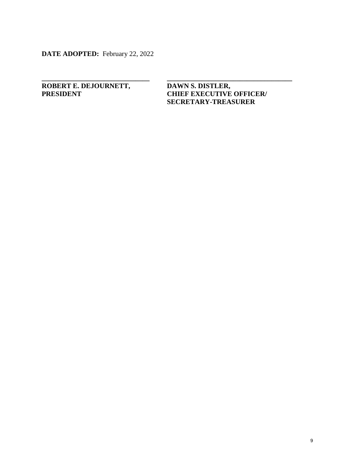**DATE ADOPTED:** February 22, 2022

# **ROBERT E. DEJOURNETT, DAWN S. DISTLER,<br>
PRESIDENT CHIEF EXECUTIVE**

### **CHIEF EXECUTIVE OFFICER/ SECRETARY-TREASURER**

**\_\_\_\_\_\_\_\_\_\_\_\_\_\_\_\_\_\_\_\_\_\_\_\_\_\_\_\_\_\_\_ \_\_\_\_\_\_\_\_\_\_\_\_\_\_\_\_\_\_\_\_\_\_\_\_\_\_\_\_\_\_\_\_\_\_\_\_**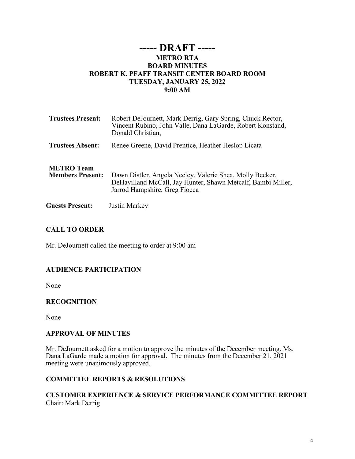#### **----- DRAFT ----- METRO RTA BOARD MINUTES ROBERT K. PFAFF TRANSIT CENTER BOARD ROOM TUESDAY, JANUARY 25, 2022 9:00 AM**

| <b>Trustees Present:</b>                     | Robert DeJournett, Mark Derrig, Gary Spring, Chuck Rector,<br>Vincent Rubino, John Valle, Dana LaGarde, Robert Konstand,<br>Donald Christian,             |
|----------------------------------------------|-----------------------------------------------------------------------------------------------------------------------------------------------------------|
| <b>Trustees Absent:</b>                      | Renee Greene, David Prentice, Heather Heslop Licata                                                                                                       |
| <b>METRO</b> Team<br><b>Members Present:</b> | Dawn Distler, Angela Neeley, Valerie Shea, Molly Becker,<br>DeHavilland McCall, Jay Hunter, Shawn Metcalf, Bambi Miller,<br>Jarrod Hampshire, Greg Fiocca |
| <b>Guests Present:</b>                       | Justin Markey                                                                                                                                             |

#### **CALL TO ORDER**

Mr. DeJournett called the meeting to order at 9:00 am

#### **AUDIENCE PARTICIPATION**

None

#### **RECOGNITION**

None

#### **APPROVAL OF MINUTES**

Mr. DeJournett asked for a motion to approve the minutes of the December meeting. Ms. Dana LaGarde made a motion for approval. The minutes from the December 21, 2021 meeting were unanimously approved.

#### **COMMITTEE REPORTS & RESOLUTIONS**

#### **CUSTOMER EXPERIENCE & SERVICE PERFORMANCE COMMITTEE REPORT** Chair: Mark Derrig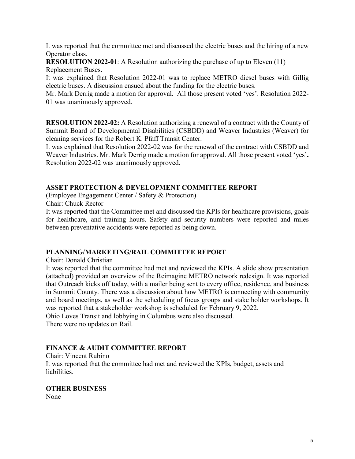It was reported that the committee met and discussed the electric buses and the hiring of a new Operator class.

**RESOLUTION 2022-01**: A Resolution authorizing the purchase of up to Eleven (11) Replacement Buses**.** 

It was explained that Resolution 2022-01 was to replace METRO diesel buses with Gillig electric buses. A discussion ensued about the funding for the electric buses.

Mr. Mark Derrig made a motion for approval. All those present voted 'yes'. Resolution 2022- 01 was unanimously approved.

**RESOLUTION 2022-02:** A Resolution authorizing a renewal of a contract with the County of Summit Board of Developmental Disabilities (CSBDD) and Weaver Industries (Weaver) for cleaning services for the Robert K. Pfaff Transit Center.

It was explained that Resolution 2022-02 was for the renewal of the contract with CSBDD and Weaver Industries. Mr. Mark Derrig made a motion for approval. All those present voted 'yes'**.**  Resolution 2022-02 was unanimously approved.

#### **ASSET PROTECTION & DEVELOPMENT COMMITTEE REPORT**

(Employee Engagement Center / Safety & Protection)

Chair: Chuck Rector

It was reported that the Committee met and discussed the KPIs for healthcare provisions, goals for healthcare, and training hours. Safety and security numbers were reported and miles between preventative accidents were reported as being down.

#### **PLANNING/MARKETING/RAIL COMMITTEE REPORT**

Chair: Donald Christian

It was reported that the committee had met and reviewed the KPIs. A slide show presentation (attached) provided an overview of the Reimagine METRO network redesign. It was reported that Outreach kicks off today, with a mailer being sent to every office, residence, and business in Summit County. There was a discussion about how METRO is connecting with community and board meetings, as well as the scheduling of focus groups and stake holder workshops. It was reported that a stakeholder workshop is scheduled for February 9, 2022.

Ohio Loves Transit and lobbying in Columbus were also discussed.

There were no updates on Rail.

#### **FINANCE & AUDIT COMMITTEE REPORT**

Chair: Vincent Rubino

It was reported that the committee had met and reviewed the KPIs, budget, assets and liabilities.

#### **OTHER BUSINESS**

None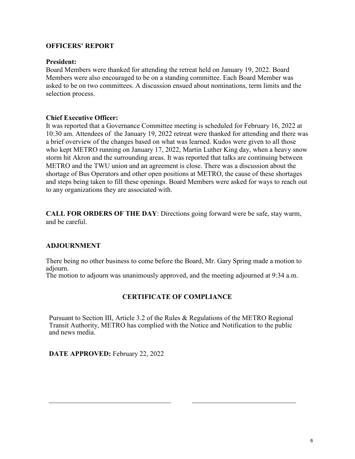#### **OFFICERS' REPORT**

#### **President:**

Board Members were thanked for attending the retreat held on January 19, 2022. Board Members were also encouraged to be on a standing committee. Each Board Member was asked to be on two committees. A discussion ensued about nominations, term limits and the selection process.

#### **Chief Executive Officer:**

It was reported that a Governance Committee meeting is scheduled for February 16, 2022 at 10:30 am. Attendees of the January 19, 2022 retreat were thanked for attending and there was a brief overview of the changes based on what was learned. Kudos were given to all those who kept METRO running on January 17, 2022, Martin Luther King day, when a heavy snow storm hit Akron and the surrounding areas. It was reported that talks are continuing between METRO and the TWU union and an agreement is close. There was a discussion about the shortage of Bus Operators and other open positions at METRO, the cause of these shortages and steps being taken to fill these openings. Board Members were asked for ways to reach out to any organizations they are associated with.

**CALL FOR ORDERS OF THE DAY**: Directions going forward were be safe, stay warm, and be careful.

#### **ADJOURNMENT**

 $\overline{a}$ 

There being no other business to come before the Board, Mr. Gary Spring made a motion to adjourn.

The motion to adjourn was unanimously approved, and the meeting adjourned at 9:34 a.m.

#### **CERTIFICATE OF COMPLIANCE**

Pursuant to Section III, Article 3.2 of the Rules & Regulations of the METRO Regional Transit Authority, METRO has complied with the Notice and Notification to the public and news media.

**DATE APPROVED:** February 22, 2022